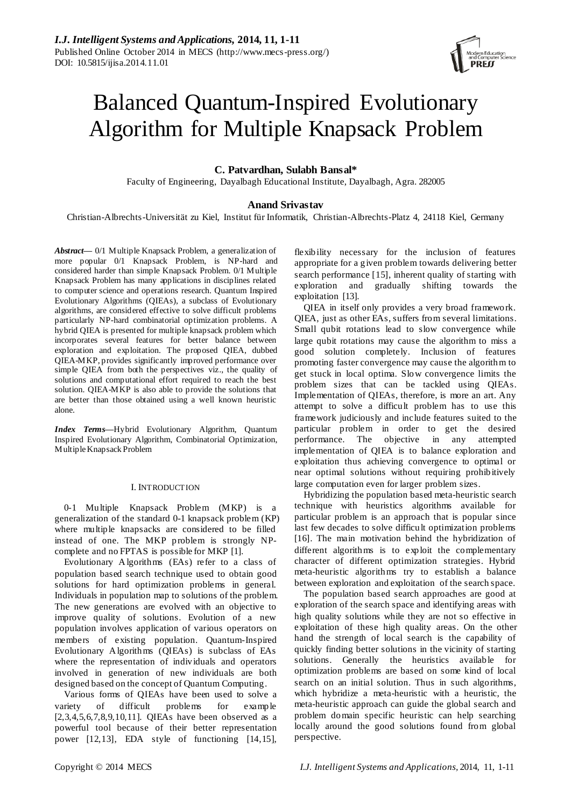# Balanced Quantum-Inspired Evolutionary Algorithm for Multiple Knapsack Problem

**C. Patvardhan, Sulabh Bansal\***

Faculty of Engineering, Dayalbagh Educational Institute, Dayalbagh, Agra. 282005

# **Anand Srivastav**

Christian-Albrechts-Universität zu Kiel, Institut für Informatik, Christian-Albrechts-Platz 4, 24118 Kiel, Germany

*Abstract***—** 0/1 Multiple Knapsack Problem, a generalization of more popular 0/1 Knapsack Problem, is NP-hard and considered harder than simple Knapsack Problem. 0/1 Multiple Knapsack Problem has many applications in disciplines related to computer science and operations research. Quantum Inspired Evolutionary Algorithms (QIEAs), a subclass of Evolutionary algorithms, are considered effective to solve difficult problems particularly NP-hard combinatorial optimization problems. A hybrid QIEA is presented for multiple knapsack problem which incorporates several features for better balance between exploration and exploitation. The proposed QIEA, dubbed QIEA-MKP, provides significantly improved performance over simple QIEA from both the perspectives viz., the quality of solutions and computational effort required to reach the best solution. QIEA-MKP is also able to provide the solutions that are better than those obtained using a well known heuristic alone.

*Index Terms***—**Hybrid Evolutionary Algorithm, Quantum Inspired Evolutionary Algorithm, Combinatorial Optimization, Multiple Knapsack Problem

# I. INTRODUCTION

0-1 Multiple Knapsack Problem (MKP) is a generalization of the standard 0-1 knapsack problem (KP) where multiple knapsacks are considered to be filled instead of one. The MKP problem is strongly NPcomplete and no FPTAS is possible for MKP [1].

Evolutionary A lgorithms (EAs) refer to a class of population based search technique used to obtain good solutions for hard optimization problems in general. Individuals in population map to solutions of the problem. The new generations are evolved with an objective to improve quality of solutions. Evolution of a new population involves application of various operators on members of existing population. Quantum-Inspired Evolutionary Algorithms (QIEAs) is subclass of EAs where the representation of individuals and operators involved in generation of new individuals are both designed based on the concept of Quantum Computing.

Various forms of QIEAs have been used to solve a variety of difficult problems for example [2,3,4,5,6,7,8,9,10,11]. QIEAs have been observed as a powerful tool because of their better representation power [12,13], EDA style of functioning [14,15],

flexibility necessary for the inclusion of features appropriate for a given problem towards delivering better search performance [15], inherent quality of starting with exploration and gradually shifting towards the exploitation [13].

QIEA in itself only provides a very broad framework. QIEA, just as other EAs, suffers from several limitations. Small qubit rotations lead to slow convergence while large qubit rotations may cause the algorithm to miss a good solution completely. Inclusion of features promoting faster convergence may cause the algorithm to get stuck in local optima. Slow convergence limits the problem sizes that can be tackled using QIEAs. Implementation of QIEAs, therefore, is more an art. Any attempt to solve a difficult problem has to use this framework judiciously and include features suited to the particular problem in order to get the desired performance. The objective in any attempted implementation of QIEA is to balance exploration and exploitation thus achieving convergence to optimal or near optimal solutions without requiring prohibitively large computation even for larger problem sizes.

Hybridizing the population based meta-heuristic search technique with heuristics algorithms available for particular problem is an approach that is popular since last few decades to solve difficult optimization problems [16]. The main motivation behind the hybridization of different algorithms is to exploit the complementary character of different optimization strategies. Hybrid meta-heuristic algorithms try to establish a balance between exploration and exploitation of the search space.

The population based search approaches are good at exploration of the search space and identifying areas with high quality solutions while they are not so effective in exploitation of these high quality areas. On the other hand the strength of local search is the capability of quickly finding better solutions in the vicinity of starting solutions. Generally the heuristics available for optimization problems are based on some kind of local search on an initial solution. Thus in such algorithms, which hybridize a meta-heuristic with a heuristic, the meta-heuristic approach can guide the global search and problem domain specific heuristic can help searching locally around the good solutions found from global perspective.

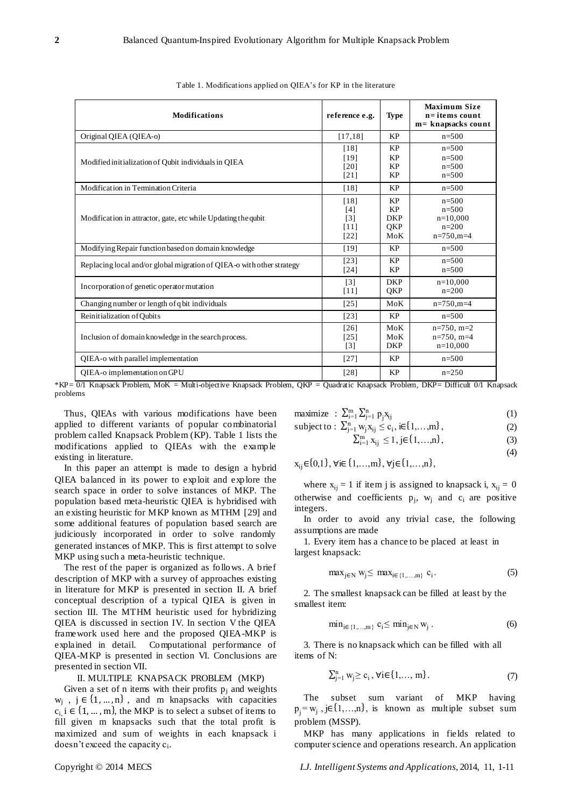| <b>Modifications</b>                                                  | reference e.g.                           | Type                                               | <b>Maximum Size</b><br>$n =$ items count<br>m= knapsacks count  |
|-----------------------------------------------------------------------|------------------------------------------|----------------------------------------------------|-----------------------------------------------------------------|
| Original QIEA (QIEA-o)                                                | [17, 18]                                 | <b>KP</b>                                          | $n = 500$                                                       |
| Modified initialization of Qubit individuals in OIEA                  | [18]<br>[19]<br>[20]<br>$[21]$           | <b>KP</b><br>KP<br><b>KP</b><br>KP                 | $n=500$<br>$n = 500$<br>$n = 500$<br>$n = 500$                  |
| Modification in Termination Criteria                                  | [18]                                     | <b>KP</b>                                          | $n = 500$                                                       |
| Modification in attractor, gate, etc while Updating the qubit         | [18]<br>[4]<br>$[3]$<br>$[11]$<br>$[22]$ | <b>KP</b><br><b>KP</b><br><b>DKP</b><br>QKP<br>MoK | $n = 500$<br>$n = 500$<br>$n=10.000$<br>$n=200$<br>$n=750, m=4$ |
| Modifying Repair function based on domain knowledge                   | [19]                                     | <b>KP</b>                                          | $n=500$                                                         |
| Replacing local and/or global migration of QIEA-o with other strategy | $[23]$<br>[24]                           | <b>KP</b><br><b>KP</b>                             | $n = 500$<br>$n=500$                                            |
| Incorporation of genetic operator mutation                            | $\lceil 3 \rceil$<br>$[11]$              | <b>DKP</b><br>QKP                                  | $n=10,000$<br>$n=200$                                           |
| Changing number or length of q bit individuals                        | $[25]$                                   | MoK                                                | $n=750, m=4$                                                    |
| Reinitialization of Oubits                                            | $[23]$                                   | <b>KP</b>                                          | $n=500$                                                         |
| Inclusion of domain knowledge in the search process.                  | [26]<br>[25]<br>$\lceil 3 \rceil$        | MoK<br>MoK<br><b>DKP</b>                           | $n=750$ , $m=2$<br>$n=750$ , $m=4$<br>$n=10,000$                |
| QIEA-o with parallel implementation                                   | $[27]$                                   | KP                                                 | $n = 500$                                                       |
| QIEA-o implementation on GPU                                          | [28]                                     | <b>KP</b>                                          | $n=250$                                                         |

Table 1. Modifications applied on QIEA"s for KP in the literature

\*KP= 0/1 Knapsack Problem, MoK = Multi-objective Knapsack Problem, QKP = Quadratic Knapsack Problem, DKP= Difficult 0/1 Knapsack problems

Thus, QIEAs with various modifications have been applied to different variants of popular combinatorial problem called Knapsack Problem (KP). Table 1 lists the modifications applied to QIEAs with the example existing in literature.

In this paper an attempt is made to design a hybrid QIEA balanced in its power to exploit and explore the search space in order to solve instances of MKP. The population based meta-heuristic QIEA is hybridised with an existing heuristic for MKP known as MTHM [29] and some additional features of population based search are judiciously incorporated in order to solve randomly generated instances of MKP. This is first attempt to solve MKP using such a meta-heuristic technique.

The rest of the paper is organized as follows. A brief description of MKP with a survey of approaches existing in literature for MKP is presented in section II. A brief conceptual description of a typical QIEA is given in section III. The MTHM heuristic used for hybridizing QIEA is discussed in section IV. In section V the QIEA framework used here and the proposed QIEA-MKP is explained in detail. Computational performance of QIEA-MKP is presented in section VI. Conclusions are presented in section VII.

# II. MULTIPLE KNAPSACK PROBLEM (MKP)

Given a set of n items with their profits  $p_i$  and weights  $w_j$ ,  $j \in \{1, ..., n\}$ , and m knapsacks with capacities  $c_i$ ,  $i \in \{1, ..., m\}$ , the MKP is to select a subset of items to fill given m knapsacks such that the total profit is maximized and sum of weights in each knapsack i doesn't exceed the capacity c<sub>i</sub>.

$$
\text{maximize} \; : \; \sum_{i=1}^{m} \sum_{j=1}^{n} p_j x_{ij} \tag{1}
$$

subject to: 
$$
\sum_{j=1}^{n} w_j x_{ij} \leq c_i, i \in \{1,...,m\},
$$
 (2)

$$
\sum_{i=1}^{m} x_{ij} \le 1, j \in \{1, ..., n\},\tag{3}
$$

(4)

$$
x_{ij} {\in} \{0,1\}, \, \forall i {\in} \{1,\ldots,m\}, \, \forall j {\in} \{1,\ldots,n\},
$$

where  $x_{ij} = 1$  if item j is assigned to knapsack i,  $x_{ij} = 0$ otherwise and coefficients  $p_j$ ,  $w_j$  and  $c_i$  are positive integers.

In order to avoid any trivial case, the following assumptions are made

1. Every item has a chance to be placed at least in largest knapsack:

$$
\max_{j \in \mathbb{N}} w_j \leq \max_{i \in \{1, \dots, m\}} c_i. \tag{5}
$$

2. The smallest knapsack can be filled at least by the smallest item:

$$
\min_{i \in \{1, \dots, m\}} c_i \le \min_{j \in \mathbb{N}} w_j \tag{6}
$$

3. There is no knapsack which can be filled with all items of N:

$$
\sum_{j=1}^{n} w_j \ge c_i, \forall i \in \{1, ..., m\}.
$$
 (7)

The subset sum variant of MKP having  $p_j = w_j$ , j $\in \{1,...,n\}$ , is known as multiple subset sum problem (MSSP).

MKP has many applications in fields related to computer science and operations research. An application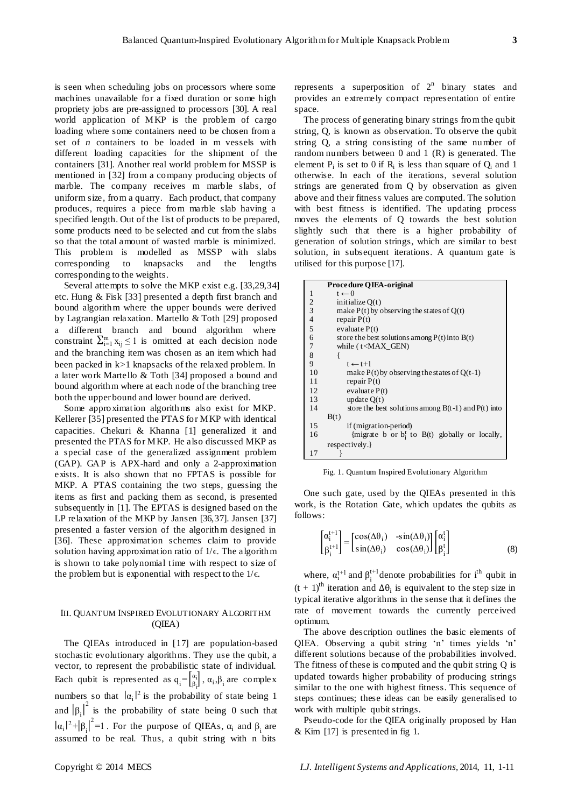is seen when scheduling jobs on processors where some machines unavailable for a fixed duration or some high propriety jobs are pre-assigned to processors [30]. A real world application of MKP is the problem of cargo loading where some containers need to be chosen from a set of *n* containers to be loaded in m vessels with different loading capacities for the shipment of the containers [31]. Another real world problem for MSSP is mentioned in [32] from a company producing objects of marble. The company receives m marble slabs, of uniform size, from a quarry. Each product, that company produces, requires a piece from marble slab having a specified length. Out of the list of products to be prepared, some products need to be selected and cut from the slabs so that the total amount of wasted marble is minimized. This problem is modelled as MSSP with slabs corresponding to knapsacks and the lengths corresponding to the weights.

Several attempts to solve the MKP exist e.g. [33,29,34] etc. Hung & Fisk [33] presented a depth first branch and bound algorithm where the upper bounds were derived by Lagrangian relaxation. Martello & Toth [29] proposed a different branch and bound algorithm where constraint  $\sum_{i=1}^{m} x_{ij} \le 1$  is omitted at each decision node and the branching item was chosen as an item which had been packed in k>1 knapsacks of the relaxed problem. In a later work Martello & Toth [34] proposed a bound and bound algorithm where at each node of the branching tree both the upper bound and lower bound are derived.

Some approximation algorithms also exist for MKP. Kellerer [35] presented the PTAS for MKP with identical capacities. Chekuri & Khanna [1] generalized it and presented the PTAS for MKP. He also discussed MKP as a special case of the generalized assignment problem (GAP). GAP is APX-hard and only a 2-approximation exists. It is also shown that no FPTAS is possible for MKP. A PTAS containing the two steps, guessing the items as first and packing them as second, is presented subsequently in [1]. The EPTAS is designed based on the LP relaxation of the MKP by Jansen [36,37]. Jansen [37] presented a faster version of the algorithm designed in [36]. These approximation schemes claim to provide solution having approximation ratio of  $1/\epsilon$ . The algorithm is shown to take polynomial time with respect to size of the problem but is exponential with respect to the  $1/\epsilon$ .

# III. QUANTUM INSPIRED EVOLUTIONARY ALGORITHM (QIEA)

The QIEAs introduced in [17] are population-based stochastic evolutionary algorithms. They use the qubit, a vector, to represent the probabilistic state of individual. Each qubit is represented as  $q_i = \begin{bmatrix} \alpha_i \\ \beta_i \end{bmatrix}$ ,  $\alpha_i, \beta_i$  are complex numbers so that  $|\alpha_i|^2$  is the probability of state being 1 and  $|\beta_i|^2$  is the probability of state being 0 such that  $|\alpha_i|^2 + |\beta_i|^2 = 1$ . For the purpose of QIEAs,  $\alpha_i$  and  $\beta_i$  are assumed to be real. Thus, a qubit string with n bits

represents a superposition of  $2<sup>n</sup>$  binary states and provides an extremely compact representation of entire space.

The process of generating binary strings from the qubit string, Q, is known as observation. To observe the qubit string Q, a string consisting of the same number of random numbers between 0 and 1 (R) is generated. The element  $P_i$  is set to 0 if  $R_i$  is less than square of  $Q_i$  and 1 otherwise. In each of the iterations, several solution strings are generated from Q by observation as given above and their fitness values are computed. The solution with best fitness is identified. The updating process moves the elements of Q towards the best solution slightly such that there is a higher probability of generation of solution strings, which are similar to best solution, in subsequent iterations. A quantum gate is utilised for this purpose [17].

|                  | Procedure QIEA-original                                 |
|------------------|---------------------------------------------------------|
| 1                | $t \leftarrow 0$                                        |
| 2                | initialize $O(t)$                                       |
| 3                | make $P(t)$ by observing the states of $Q(t)$           |
| $\overline{4}$   | repair $P(t)$                                           |
| 5                | evaluate $P(t)$                                         |
| $\boldsymbol{6}$ | store the best solutions among $P(t)$ into $B(t)$       |
| $\overline{7}$   | while $(t GEN)$                                         |
| 8                | ł                                                       |
| 9                | $t \leftarrow t+1$                                      |
| 10               | make $P(t)$ by observing the states of $Q(t-1)$         |
| 11               | repair $P(t)$                                           |
| 12               | evaluate $P(t)$                                         |
| 13               | update $O(t)$                                           |
| 14               | store the best solutions among $B(t-1)$ and $P(t)$ into |
|                  | B(t)                                                    |
| 15               | if (migration-period)                                   |
| 16               | {migrate b or $b_i^t$ to $B(t)$ globally or locally,    |
|                  | respectively.                                           |
| 17               |                                                         |

Fig. 1. Quantum Inspired Evolutionary Algorithm

One such gate, used by the QIEAs presented in this work, is the Rotation Gate, which updates the qubits as follows:

$$
\begin{bmatrix} \alpha_i^{t+1} \\ \beta_i^{t+1} \end{bmatrix} = \begin{bmatrix} \cos(\Delta\theta_i) & -\sin(\Delta\theta_i) \\ \sin(\Delta\theta_i) & \cos(\Delta\theta_i) \end{bmatrix} \begin{bmatrix} \alpha_i^t \\ \beta_i^t \end{bmatrix}
$$
 (8)

where,  $\alpha_i^{t+1}$  and  $\beta_i^{t+1}$  denote probabilities for i<sup>th</sup> qubit in  $(t + 1)$ <sup>th</sup> iteration and  $\Delta\theta_i$  is equivalent to the step size in typical iterative algorithms in the sense that it defines the rate of movement towards the currently perceived optimum.

The above description outlines the basic elements of QIEA. Observing a qubit string 'n' times yields 'n' different solutions because of the probabilities involved. The fitness of these is computed and the qubit string Q is updated towards higher probability of producing strings similar to the one with highest fitness. This sequence of steps continues; these ideas can be easily generalised to work with multiple qubit strings.

Pseudo-code for the QIEA originally proposed by Han & Kim [17] is presented in fig 1.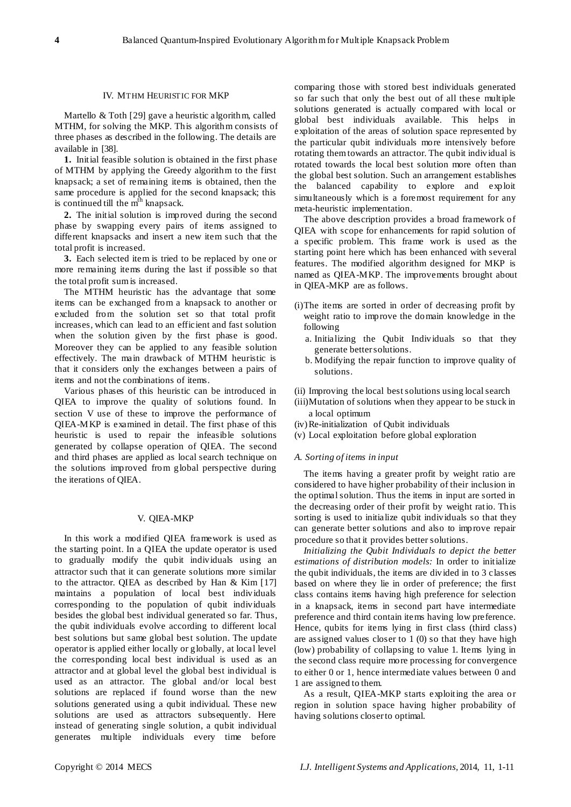## IV. MTHM HEURISTIC FOR MKP

Martello & Toth [29] gave a heuristic algorithm, called MTHM, for solving the MKP. This algorithm consists of three phases as described in the following. The details are available in [38].

**1.** Initial feasible solution is obtained in the first phase of MTHM by applying the Greedy algorithm to the first knapsack; a set of remaining items is obtained, then the same procedure is applied for the second knapsack; this is continued till the  $m<sup>th</sup>$  knapsack.

**2.** The initial solution is improved during the second phase by swapping every pairs of items assigned to different knapsacks and insert a new item such that the total profit is increased.

**3.** Each selected item is tried to be replaced by one or more remaining items during the last if possible so that the total profit sum is increased.

The MTHM heuristic has the advantage that some items can be exchanged from a knapsack to another or excluded from the solution set so that total profit increases, which can lead to an efficient and fast solution when the solution given by the first phase is good. Moreover they can be applied to any feasible solution effectively. The main drawback of MTHM heuristic is that it considers only the exchanges between a pairs of items and not the combinations of items.

Various phases of this heuristic can be introduced in QIEA to improve the quality of solutions found. In section V use of these to improve the performance of QIEA-MKP is examined in detail. The first phase of this heuristic is used to repair the infeasible solutions generated by collapse operation of QIEA. The second and third phases are applied as local search technique on the solutions improved from global perspective during the iterations of QIEA.

# V. QIEA-MKP

In this work a modified QIEA framework is used as the starting point. In a QIEA the update operator is used to gradually modify the qubit individuals using an attractor such that it can generate solutions more similar to the attractor. QIEA as described by Han & Kim [17] maintains a population of local best individuals corresponding to the population of qubit individuals besides the global best individual generated so far. Thus, the qubit individuals evolve according to different local best solutions but same global best solution. The update operator is applied either locally or globally, at local level the corresponding local best individual is used as an attractor and at global level the global best individual is used as an attractor. The global and/or local best solutions are replaced if found worse than the new solutions generated using a qubit individual. These new solutions are used as attractors subsequently. Here instead of generating single solution, a qubit individual generates multiple individuals every time before

comparing those with stored best individuals generated so far such that only the best out of all these multiple solutions generated is actually compared with local or global best individuals available. This helps in exploitation of the areas of solution space represented by the particular qubit individuals more intensively before rotating them towards an attractor. The qubit individual is rotated towards the local best solution more often than the global best solution. Such an arrangement establishes the balanced capability to explore and exploit simultaneously which is a foremost requirement for any meta-heuristic implementation.

The above description provides a broad framework of QIEA with scope for enhancements for rapid solution of a specific problem. This frame work is used as the starting point here which has been enhanced with several features. The modified algorithm designed for MKP is named as QIEA-MKP. The improvements brought about in QIEA-MKP are as follows.

- (i)The items are sorted in order of decreasing profit by weight ratio to improve the domain knowledge in the following
	- a. Initializing the Qubit Individuals so that they generate better solutions.
	- b. Modifying the repair function to improve quality of solutions.
- (ii) Improving the local best solutions using local search
- (iii)Mutation of solutions when they appear to be stuck in a local optimum
- (iv)Re-initialization of Qubit individuals
- (v) Local exploitation before global exploration

## *A. Sorting of items in input*

The items having a greater profit by weight ratio are considered to have higher probability of their inclusion in the optimal solution. Thus the items in input are sorted in the decreasing order of their profit by weight ratio. This sorting is used to initialize qubit individuals so that they can generate better solutions and also to improve repair procedure so that it provides better solutions.

*Initializing the Qubit Individuals to depict the better estimations of distribution models:* In order to initialize the qubit individuals, the items are divided in to 3 classes based on where they lie in order of preference; the first class contains items having high preference for selection in a knapsack, items in second part have intermediate preference and third contain items having low preference. Hence, qubits for items lying in first class (third class) are assigned values closer to 1 (0) so that they have high (low) probability of collapsing to value 1. Items lying in the second class require more processing for convergence to either 0 or 1, hence intermediate values between 0 and 1 are assigned to them.

As a result, QIEA-MKP starts exploiting the area or region in solution space having higher probability of having solutions closer to optimal.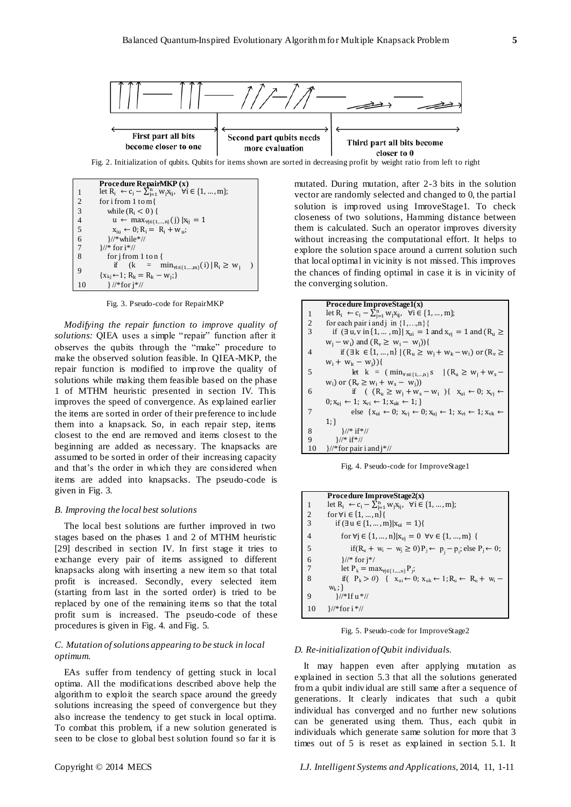

Fig. 2. Initialization of qubits. Qubits for items shown are sorted in decreasing profit by weight ratio from left to right

|                                       | Procedure RepairMKP $(x)$                                                     |  |
|---------------------------------------|-------------------------------------------------------------------------------|--|
| 1                                     | let $R_i \leftarrow c_i - \sum_{i=1}^n w_i x_{ij}, \forall i \in \{1, , m\};$ |  |
| 2                                     | for i from 1 to m $\{$                                                        |  |
| $\overline{3}$                        | while $(R_i < 0)$ {                                                           |  |
| $\overline{\mathcal{L}}$              | u ← max <sub>∀j∈{1,,n</sub> }(j)  x <sub>ij</sub> = 1                         |  |
| $\overline{5}$                        | $x_{i} \leftarrow 0$ ; $R_i = R_i + w_{ii}$ ;                                 |  |
| $\begin{array}{c} 6 \\ 7 \end{array}$ | $\frac{1}{2}$ while*//                                                        |  |
|                                       | $\frac{1}{2}$ for $i^*/$                                                      |  |
| $\overline{8}$                        | for $j$ from 1 to n $\{$                                                      |  |
|                                       | if $(k = \min_{\forall i \in \{1, \dots, m\}}(i)   R_i \ge w_i$               |  |
| 9                                     | ${x_{ki} \leftarrow 1$ ; $R_k = R_k - w_i}$                                   |  |
| 10                                    | $\frac{1}{2}$ //*for $i^*/$                                                   |  |

Fig. 3. Pseudo-code for RepairMKP

*Modifying the repair function to improve quality of solutions:* QIEA uses a simple " repair" function after it observes the qubits through the "make" procedure to make the observed solution feasible. In QIEA-MKP, the repair function is modified to improve the quality of solutions while making them feasible based on the phase 1 of MTHM heuristic presented in section IV. This improves the speed of convergence. As explained earlier the items are sorted in order of their preference to include them into a knapsack. So, in each repair step, items closest to the end are removed and items closest to the beginning are added as necessary. The knapsacks are assumed to be sorted in order of their increasing capacity and that"s the order in which they are considered when items are added into knapsacks. The pseudo-code is given in Fig. 3.

## *B. Improving the local best solutions*

The local best solutions are further improved in two stages based on the phases 1 and 2 of MTHM heuristic [29] described in section IV. In first stage it tries to exchange every pair of items assigned to different knapsacks along with inserting a new item so that total profit is increased. Secondly, every selected item (starting from last in the sorted order) is tried to be replaced by one of the remaining items so that the total profit sum is increased. The pseudo-code of these procedures is given in Fig. 4. and Fig. 5.

# *C. Mutation of solutions appearing to be stuck in local optimum.*

EAs suffer from tendency of getting stuck in local optima. All the modifications described above help the algorithm to exploit the search space around the greedy solutions increasing the speed of convergence but they also increase the tendency to get stuck in local optima. To combat this problem, if a new solution generated is seen to be close to global best solution found so far it is

mutated. During mutation, after 2-3 bits in the solution vector are randomly selected and changed to 0, the partial solution is improved using ImroveStage1. To check closeness of two solutions, Hamming distance between them is calculated. Such an operator improves diversity without increasing the computational effort. It helps to explore the solution space around a current solution such that local optimal in vicinity is not missed. This improves the chances of finding optimal in case it is in vicinity of the converging solution.

|    | Procedure ImproveStage1(x)                                                                                                 |
|----|----------------------------------------------------------------------------------------------------------------------------|
| 1  | let $R_i \leftarrow c_i - \sum_{j=1}^n w_j x_{ij}, \forall i \in \{1, , m\};$                                              |
| 2  | for each pair i and j in $\{1,,n\}$                                                                                        |
| 3  | if $(\exists u, v \text{ in } \{1, , m\}   x_{ui} = 1 \text{ and } x_{vj} = 1 \text{ and } (R_u \geq 1)$                   |
|    | $w_j - w_i$ ) and $(R_v \ge w_i - w_i))$ {                                                                                 |
| 4  | if $(\exists k \in \{1, , n\}   (R_u \ge w_i + w_k - w_i) \text{ or } (R_v \ge$                                            |
|    | $W_i + W_k - W_i)$ }                                                                                                       |
| 5  | let $k = (\min_{\forall s \in \{1,,n\}} s \mid (R_u \ge w_j + w_s -$                                                       |
|    | $w_i$ ) or $(R_v \ge w_i + w_s - w_i)$                                                                                     |
| 6  | if $(R_u \geq w_i + w_s - w_i)$ $X_{ui} \leftarrow 0$ ; $X_{vi} \leftarrow$                                                |
|    | $0; x_{uj} \leftarrow 1; x_{vi} \leftarrow 1; x_{uk} \leftarrow 1;$                                                        |
| 7  | else { $x_{ui} \leftarrow 0$ ; $x_{vj} \leftarrow 0$ ; $x_{uj} \leftarrow 1$ ; $x_{vi} \leftarrow 1$ ; $x_{vk} \leftarrow$ |
|    | 1:                                                                                                                         |
| 8  | $\frac{1}{2}$ if *//                                                                                                       |
| 9  | $\frac{1}{2}$ if *//                                                                                                       |
| 10 | $\frac{1}{2}$ for pair i and $\frac{1}{2}$ //                                                                              |

Fig. 4. Pseudo-code for ImproveStage1

|                | Procedure ImproveStage2(x)                                                                                                          |
|----------------|-------------------------------------------------------------------------------------------------------------------------------------|
| 1              | let $R_i \leftarrow c_i - \sum_{i=1}^n w_i x_{ij}, \forall i \in \{1, , m\};$                                                       |
| 2              | for $\forall i \in \{1, , n\}$                                                                                                      |
| $\overline{3}$ | if $(\exists u \in \{1, , m\} x_{ui} = 1)$                                                                                          |
| $\overline{4}$ | for $\forall j \in \{1, \ldots, n\}   x_{vj} = 0 \ \forall v \in \{1, \ldots, m\}$ {                                                |
| 5              | if(R <sub>u</sub> + w <sub>i</sub> − w <sub>j</sub> ≥ 0)P <sub>j</sub> ← p <sub>i</sub> − p <sub>i</sub> ; else P <sub>j</sub> ← 0; |
| $\frac{6}{7}$  | $\frac{1}{*}$ for $j^*/$                                                                                                            |
|                | let $P_k = \max_{\forall j \in \{1,,n\}} P_j$ ;                                                                                     |
| 8              | if $(P_k > 0)$ { $x_{ni} \leftarrow 0$ ; $x_{nk} \leftarrow 1; R_n \leftarrow R_n + w_i$                                            |
|                | $W_k$ ; }                                                                                                                           |
| 9              | $\frac{1}{2}$ f u *//                                                                                                               |
| 10             | $\frac{1}{2}$ for i *//                                                                                                             |

Fig. 5. Pseudo-code for ImproveStage2

## *D. Re-initialization of Qubit individuals.*

It may happen even after applying mutation as explained in section 5.3 that all the solutions generated from a qubit individual are still same after a sequence of generations. It clearly indicates that such a qubit individual has converged and no further new solutions can be generated using them. Thus, each qubit in individuals which generate same solution for more that 3 times out of 5 is reset as explained in section 5.1. It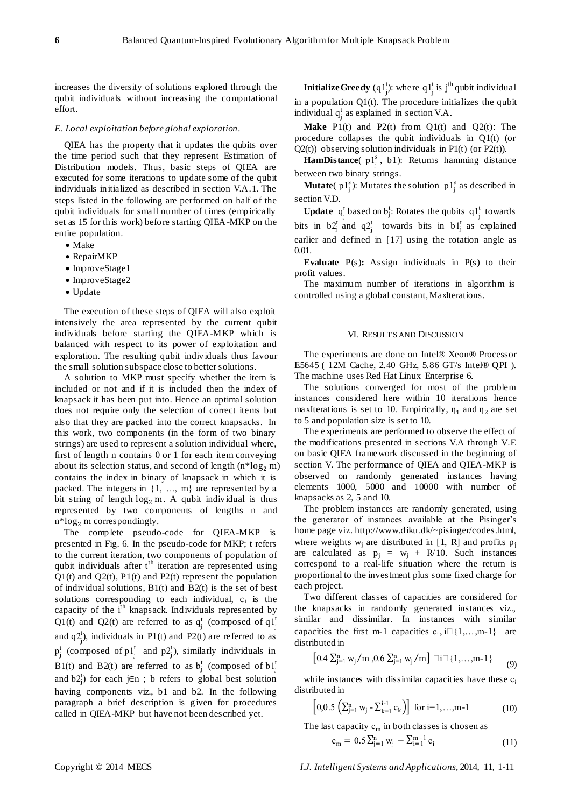increases the diversity of solutions explored through the qubit individuals without increasing the computational effort.

#### *E. Local exploitation before global exploration.*

QIEA has the property that it updates the qubits over the time period such that they represent Estimation of Distribution models. Thus, basic steps of QIEA are executed for some iterations to update some of the qubit individuals initialized as described in section V.A.1. The steps listed in the following are performed on half of the qubit individuals for small number of times (empirically set as 15 for this work) before starting QIEA-MKP on the entire population.

- Make
- RepairMKP
- ImproveStage1
- ImproveStage2
- Update

The execution of these steps of QIEA will also exploit intensively the area represented by the current qubit individuals before starting the QIEA-MKP which is balanced with respect to its power of exploitation and exploration. The resulting qubit individuals thus favour the small solution subspace close to better solutions.

A solution to MKP must specify whether the item is included or not and if it is included then the index of knapsack it has been put into. Hence an optimal solution does not require only the selection of correct items but also that they are packed into the correct knapsacks. In this work, two components (in the form of two binary strings) are used to represent a solution individual where, first of length n contains 0 or 1 for each item conveying about its selection status, and second of length  $(n * log_2 m)$ contains the index in binary of knapsack in which it is packed. The integers in  $\{1, ..., m\}$  are represented by a bit string of length  $log_2 m$ . A qubit individual is thus represented by two components of lengths n and  $n*log_2 m$  correspondingly.

The complete pseudo-code for QIEA-MKP is presented in Fig. 6. In the pseudo-code for MKP; t refers to the current iteration, two components of population of qubit individuals after  $t<sup>th</sup>$  iteration are represented using  $Q1(t)$  and  $Q2(t)$ ,  $P1(t)$  and  $P2(t)$  represent the population of individual solutions,  $B1(t)$  and  $B2(t)$  is the set of best solutions corresponding to each individual,  $c_i$  is the capacity of the i<sup>th</sup> knapsack. Individuals represented by Q1(t) and Q2(t) are referred to as  $q_j^t$  (composed of  $q_1^t$ and  $q2_j^t$ ), individuals in P1(t) and P2(t) are referred to as  $p_j^t$  (composed of  $p_j^t$  and  $p_j^{t}$ ), similarly individuals in B1(t) and B2(t) are referred to as  $b_j^t$  (composed of  $b1_j^t$ and  $b2^{\dagger}_{j}$ ) for each j $\in$ n; b refers to global best solution having components viz., b1 and b2. In the following paragraph a brief description is given for procedures called in QIEA-MKP but have not been described yet.

**Initialize Greedy**  $(q1_j^t)$ : where  $q1_j^t$  is j<sup>th</sup> qubit individual in a population  $Q1(t)$ . The procedure initializes the qubit individual  $q_j^t$  as explained in section V.A.

**Make** P1(t) and P2(t) from Q1(t) and Q2(t): The procedure collapses the qubit individuals in Q1(t) (or  $Q2(t)$ ) observing solution individuals in P1(t) (or P2(t)).

 $\textbf{HamDistance}(p1^s_j, b1)$ : Returns hamming distance between two binary strings.

**Mutate**( $p1_j^s$ ): Mutates the solution  $p1_j^s$  as described in section V.D.

**Update**  $q_j^t$  based on  $b_j^t$ : Rotates the qubits  $q_1^t$  towards bits in  $b2^t_j$  and  $q2^t_j$  towards bits in  $b1^t_j$  as explained earlier and defined in [17] using the rotation angle as 0.01.

**Evaluate** P(s)**:** Assign individuals in P(s) to their profit values.

The maximum number of iterations in algorithm is controlled using a global constant, MaxIterations.

## VI. RESULTS AND DISCUSSION

The experiments are done on Intel® Xeon® Processor E5645 ( 12M Cache, 2.40 GHz, 5.86 GT/s Intel® QPI ). The machine uses Red Hat Linux Enterprise 6.

The solutions converged for most of the problem instances considered here within 10 iterations hence maxIterations is set to 10. Empirically,  $\eta_1$  and  $\eta_2$  are set to 5 and population size is set to 10.

The experiments are performed to observe the effect of the modifications presented in sections V.A through V.E on basic QIEA framework discussed in the beginning of section V. The performance of QIEA and QIEA-MKP is observed on randomly generated instances having elements 1000, 5000 and 10000 with number of knapsacks as 2, 5 and 10.

The problem instances are randomly generated, using the generator of instances available at the Pisinger"s home page viz. http://www.diku.dk/~pisinger/codes.html, where weights  $w_i$  are distributed in [1, R] and profits  $p_i$ are calculated as  $p_i = w_i + R/10$ . Such instances correspond to a real-life situation where the return is proportional to the investment plus some fixed charge for each project.

Two different classes of capacities are considered for the knapsacks in randomly generated instances viz., similar and dissimilar. In instances with similar capacities the first m-1 capacities  $c_i$ , i $\Box$ {1,...,m-1} are distributed in

$$
\left[0.4\ \Sigma_{j=1}^{n}\ w_{j}/m\ ,0.6\ \Sigma_{j=1}^{n}\ w_{j}/m\right]\ \Box\ \Box\ \{1,\dots,m\text{-}1\}\hspace{1cm} \textnormal{(9)}
$$

while instances with dissimilar capacities have these  $c_i$ distributed in

$$
\left[0,0.5\left(\sum_{j=1}^{n} w_j - \sum_{k=1}^{i-1} c_k\right)\right] \text{ for } i=1,\ldots,m-1 \tag{10}
$$

The last capacity  $c_m$  in both classes is chosen as

$$
c_m = 0.5 \sum_{j=1}^{n} w_j - \sum_{i=1}^{m-1} c_i
$$
 (11)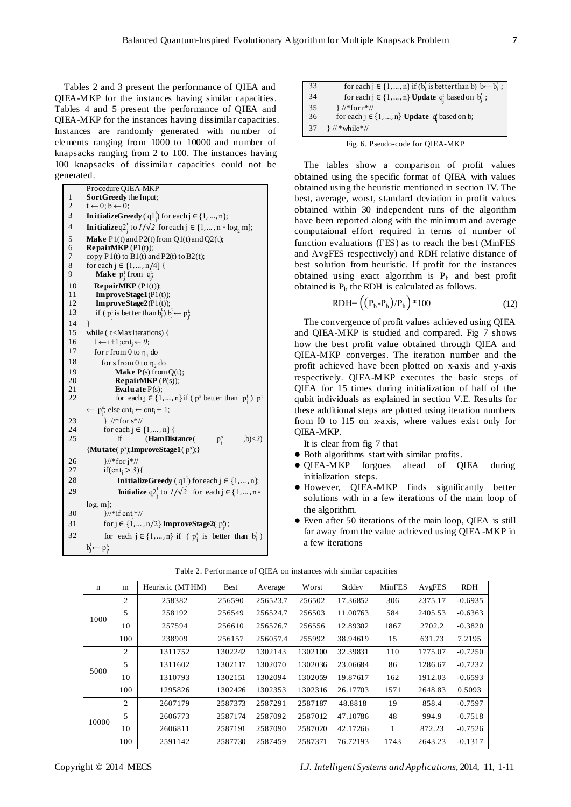Tables 2 and 3 present the performance of QIEA and QIEA-MKP for the instances having similar capacities. Tables 4 and 5 present the performance of QIEA and QIEA-MKP for the instances having dissimilar capacities. Instances are randomly generated with number of elements ranging from 1000 to 10000 and number of knapsacks ranging from 2 to 100. The instances having 100 knapsacks of dissimilar capacities could not be generated.

|                          | Procedure QIEA-MKP                                                                    |
|--------------------------|---------------------------------------------------------------------------------------|
| $\mathbf{1}$             | SortGreedy the Input;                                                                 |
| $\overline{\mathbf{c}}$  | $t \leftarrow 0; b \leftarrow 0;$                                                     |
| 3                        | <b>InitializeGreedy</b> (q1 <sup>t</sup> <sub>i</sub> ) for each $j \in \{1, , n\}$ ; |
| $\overline{\mathcal{L}}$ | <b>Initialize</b> $q2_i^t$ to $1/\sqrt{2}$ for each $j \in \{1, , n * log_2 m\}$ ;    |
| 5                        | Make $P1(t)$ and $P2(t)$ from $Q1(t)$ and $Q2(t)$ ;                                   |
| 6                        | <b>RepairMKP</b> $(PI(t))$ ;                                                          |
| 7                        | copy $P1(t)$ to $B1(t)$ and $P2(t)$ to $B2(t)$ ;                                      |
| 8                        | for each $j \in \{1, , n/4\}$                                                         |
| 9                        | <b>Make</b> $p_i^t$ from $q_i^t$ ;                                                    |
| 10                       | <b>RepairMKP</b> $(PI(t))$ ;                                                          |
| 11                       | Improve Stage $1(P1(t))$ ;                                                            |
| 12                       | ImproveStage2(P1(t));                                                                 |
| 13                       | if ( $p_i^t$ is better than $b_i^t$ ) $b_i^t \leftarrow p_i^t$                        |
| 14                       | ł                                                                                     |
| 15                       | while (t <maxiterations) td="" {<=""></maxiterations)>                                |
| 16                       | $t \leftarrow t+1$ ; cnt <sub>i</sub> $\leftarrow 0$ ;                                |
| 17                       | for r from 0 to $\eta_1$ do                                                           |
| 18                       | for s from 0 to $\eta$ , do                                                           |
| 19                       | <b>Make</b> $P(s)$ from $Q(t)$ ;                                                      |
| 20                       | <b>RepairMKP</b> $(P(s))$ ;                                                           |
| 21                       | Evaluate $P(s)$ ;                                                                     |
| 22                       | for each $j \in \{1, , n\}$ if ( $p_i^s$ better than $p_i^t$ ) $p_i^t$                |
|                          | $\leftarrow p_i^s$ ; else cnt <sub>j</sub> $\leftarrow$ cnt <sub>j</sub> + 1;         |
| 23                       | } //*for $s*//$                                                                       |
| 24                       | for each $j \in \{1, , n\}$                                                           |
| 25                       | if<br>(Ham Distance (<br>$p_i^s$<br>,b) < 2                                           |
|                          | {Mutate( $p_i^s$ );ImproveStage1( $p_i^s$ );}                                         |
| 26                       | $\frac{1}{2}$ for $i^*//$                                                             |
| 27                       | if(cnt <sub>i</sub> $>$ 3){                                                           |
| 28                       | <b>InitializeGreedy</b> (q1 <sup>1</sup> ) for each $j \in \{1, , n\}$ ;              |
| 29                       | <b>Initialize</b> $q2_i^t$ to $1/\sqrt{2}$ for each $j \in \{1, , n*$                 |
|                          | $log, m$ };                                                                           |
| 30                       | }//*if $cnt_i$ *//                                                                    |
| 31                       | for $j \in \{1, , n/2\}$ ImproveStage2( $p_j^b$ );                                    |
| 32                       | for each $j \in \{1, , n\}$ if ( $p_i^t$ is better than $b_j^t$ )                     |
|                          | $b_j^t \leftarrow p_j^t$                                                              |
|                          |                                                                                       |

| 33 | for each $j \in \{1, , n\}$ if $(b_i^t$ is better than b) $\overline{b \leftarrow b_i^t}$ ; |
|----|---------------------------------------------------------------------------------------------|
| 34 | for each $j \in \{1, , n\}$ Update $q_i^t$ based on $b_i^t$ ;                               |
| 35 | $\frac{1}{2}$ //*for r*//                                                                   |
| 36 | for each $j \in \{1, , n\}$ Update $q_i^t$ based on b;                                      |
| 37 | $\frac{1}{2}$ // * while *//                                                                |

The tables show a comparison of profit values obtained using the specific format of QIEA with values obtained using the heuristic mentioned in section IV. The best, average, worst, standard deviation in profit values obtained within 30 independent runs of the algorithm have been reported along with the minimum and average computaional effort required in terms of number of function evaluations (FES) as to reach the best (MinFES and AvgFES respectively) and RDH relative distance of best solution from heuristic. If profit for the instances obtained using exact algorithm is  $P_h$  and best profit obtained is  $P_b$  the RDH is calculated as follows.

$$
RDH = ((P_b - P_h)/P_h) * 100 \tag{12}
$$

The convergence of profit values achieved using QIEA and QIEA-MKP is studied and compared. Fig 7 shows how the best profit value obtained through QIEA and QIEA-MKP converges. The iteration number and the profit achieved have been plotted on x-axis and y-axis respectively. QIEA-MKP executes the basic steps of QIEA for 15 times during initialization of half of the qubit individuals as explained in section V.E. Results for these additional steps are plotted using iteration numbers from I0 to I15 on x-axis, where values exist only for QIEA-MKP.

It is clear from fig 7 that

- Both algorithms start with similar profits.
- QIEA-MKP forgoes ahead of QIEA during initialization steps.
- However, QIEA-MKP finds significantly better solutions with in a few iterations of the main loop of the algorithm.
- Even after 50 iterations of the main loop, QIEA is still far away from the value achieved using QIEA -MKP in a few iterations

| n     | m              | Heuristic (MTHM) | <b>Best</b> | Average  | Worst   | <b>St</b> dde v | MinFES | AvgFES  | <b>RDH</b> |
|-------|----------------|------------------|-------------|----------|---------|-----------------|--------|---------|------------|
|       | 2              | 258382           | 256590      | 256523.7 | 256502  | 17.36852        | 306    | 2375.17 | $-0.6935$  |
| 1000  | 5              | 258192           | 256549      | 256524.7 | 256503  | 11.00763        | 584    | 2405.53 | $-0.6363$  |
|       | 10             | 257594           | 256610      | 256576.7 | 256556  | 12.89302        | 1867   | 2702.2  | $-0.3820$  |
|       | 100            | 238909           | 256157      | 256057.4 | 255992  | 38.94619        | 15     | 631.73  | 7.2195     |
|       | $\mathfrak{2}$ | 1311752          | 1302242     | 1302143  | 1302100 | 32.39831        | 110    | 1775.07 | $-0.7250$  |
|       | $\overline{5}$ | 1311602          | 1302117     | 1302070  | 1302036 | 23.06684        | 86     | 1286.67 | $-0.7232$  |
| 5000  | 10             | 1310793          | 1302151     | 1302094  | 1302059 | 19.87617        | 162    | 1912.03 | $-0.6593$  |
|       | 100            | 1295826          | 1302426     | 1302353  | 1302316 | 26.17703        | 1571   | 2648.83 | 0.5093     |
|       | 2              | 2607179          | 2587373     | 2587291  | 2587187 | 48.8818         | 19     | 858.4   | $-0.7597$  |
| 10000 | $\overline{5}$ | 2606773          | 2587174     | 2587092  | 2587012 | 47.10786        | 48     | 994.9   | $-0.7518$  |
|       | 10             | 2606811          | 2587191     | 2587090  | 2587020 | 42.17266        | 1      | 872.23  | $-0.7526$  |
|       | 100            | 2591142          | 2587730     | 2587459  | 2587371 | 76.72193        | 1743   | 2643.23 | $-0.1317$  |

Table 2. Performance of QIEA on instances with similar capacities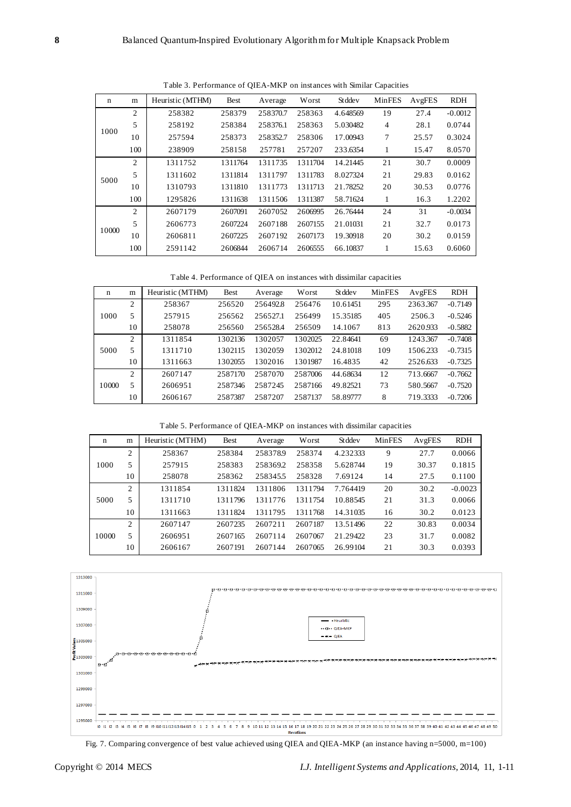| n     | m              | Heuristic (MTHM) | <b>Best</b> | Average  | Worst   | <b>St</b> dde v | MinFES | AvgFES | <b>RDH</b> |
|-------|----------------|------------------|-------------|----------|---------|-----------------|--------|--------|------------|
|       | $\overline{2}$ | 258382           | 258379      | 258370.7 | 258363  | 4.648569        | 19     | 27.4   | $-0.0012$  |
|       | 5              | 258192           | 258384      | 258376.1 | 258363  | 5.030482        | 4      | 28.1   | 0.0744     |
| 1000  | 10             | 257594           | 258373      | 258352.7 | 258306  | 17.00943        | 7      | 25.57  | 0.3024     |
|       | 100            | 238909           | 258158      | 257781   | 257207  | 233.6354        | 1      | 15.47  | 8.0570     |
|       | $\overline{c}$ | 1311752          | 1311764     | 1311735  | 1311704 | 14.21445        | 21     | 30.7   | 0.0009     |
| 5000  | 5              | 1311602          | 1311814     | 1311797  | 1311783 | 8.027324        | 21     | 29.83  | 0.0162     |
|       | 10             | 1310793          | 1311810     | 1311773  | 1311713 | 21.78252        | 20     | 30.53  | 0.0776     |
|       | 100            | 1295826          | 1311638     | 1311506  | 1311387 | 58.71624        | 1      | 16.3   | 1.2202     |
|       | $\overline{2}$ | 2607179          | 2607091     | 2607052  | 2606995 | 26.76444        | 24     | 31     | $-0.0034$  |
|       | 5              | 2606773          | 2607224     | 2607188  | 2607155 | 21.01031        | 21     | 32.7   | 0.0173     |
| 10000 | 10             | 2606811          | 2607225     | 2607192  | 2607173 | 19.30918        | 20     | 30.2   | 0.0159     |
|       | 100            | 2591142          | 2606844     | 2606714  | 2606555 | 66.10837        | 1      | 15.63  | 0.6060     |

Table 3. Performance of QIEA-MKP on instances with Similar Capacities

Table 4. Performance of QIEA on instances with dissimilar capacities

| $\mathbf n$ | m              | Heuristic (MTHM) | <b>Best</b> | Average  | Worst   | <b>St</b> dde v | <b>MinFES</b> | AvgFES   | <b>RDH</b> |
|-------------|----------------|------------------|-------------|----------|---------|-----------------|---------------|----------|------------|
|             | $\overline{c}$ | 258367           | 256520      | 256492.8 | 256476  | 10.61451        | 295           | 2363.367 | $-0.7149$  |
| 1000        | 5              | 257915           | 256562      | 256527.1 | 256499  | 15.35185        | 405           | 2506.3   | $-0.5246$  |
|             | 10             | 258078           | 256560      | 256528.4 | 256509  | 14.1067         | 813           | 2620.933 | $-0.5882$  |
| 5000        | $\overline{2}$ | 1311854          | 1302136     | 1302057  | 1302025 | 22.84641        | 69            | 1243.367 | $-0.7408$  |
|             | 5              | 1311710          | 1302115     | 1302059  | 1302012 | 24.81018        | 109           | 1506.233 | $-0.7315$  |
|             | 10             | 1311663          | 1302055     | 1302016  | 1301987 | 16.4835         | 42            | 2526.633 | $-0.7325$  |
|             | $\overline{c}$ | 2607147          | 2587170     | 2587070  | 2587006 | 44.68634        | 12            | 713.6667 | $-0.7662$  |
| 10000       | 5              | 2606951          | 2587346     | 2587245  | 2587166 | 49.82521        | 73            | 580.5667 | $-0.7520$  |
|             | 10             | 2606167          | 2587387     | 2587207  | 2587137 | 58.89777        | 8             | 719.3333 | $-0.7206$  |

Table 5. Performance of QIEA-MKP on instances with dissimilar capacities

| n     | m              | Heuristic (MTHM) | <b>Best</b> | Average  | Worst   | Stddev   | <b>MinFES</b> | AvgFES | <b>RDH</b> |
|-------|----------------|------------------|-------------|----------|---------|----------|---------------|--------|------------|
|       | $\overline{c}$ | 258367           | 258384      | 258378.9 | 258374  | 4.232333 | 9             | 27.7   | 0.0066     |
| 1000  | 5              | 257915           | 258383      | 258369.2 | 258358  | 5.628744 | 19            | 30.37  | 0.1815     |
|       | 10             | 258078           | 258362      | 2583455  | 258328  | 7.69124  | 14            | 27.5   | 0.1100     |
|       | $\overline{2}$ | 1311854          | 1311824     | 1311806  | 1311794 | 7.764419 | 20            | 30.2   | $-0.0023$  |
| 5000  | 5              | 1311710          | 1311796     | 1311776  | 1311754 | 10.88545 | 21            | 31.3   | 0.0066     |
|       | 10             | 1311663          | 1311824     | 1311795  | 1311768 | 14.31035 | 16            | 30.2   | 0.0123     |
|       | $\overline{c}$ | 2607147          | 2607235     | 2607211  | 2607187 | 13.51496 | 22            | 30.83  | 0.0034     |
| 10000 | 5              | 2606951          | 2607165     | 2607114  | 2607067 | 21.29422 | 23            | 31.7   | 0.0082     |
|       | 10             | 2606167          | 2607191     | 2607144  | 2607065 | 26.99104 | 21            | 30.3   | 0.0393     |



Fig. 7. Comparing convergence of best value achieved using QIEA and QIEA-MKP (an instance having n=5000, m=100)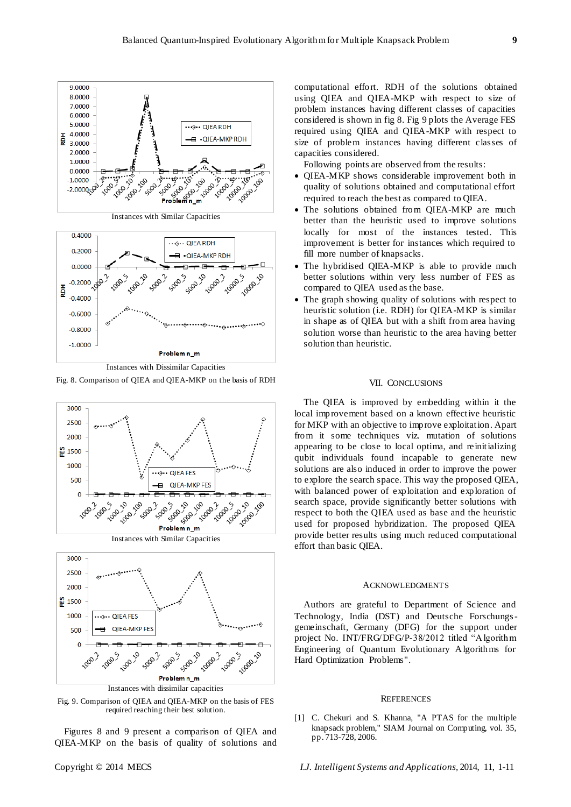

Instances with Dissimilar Capacities Fig. 8. Comparison of QIEA and QIEA-MKP on the basis of RDH



Instances with dissimilar capacities

Fig. 9. Comparison of QIEA and QIEA-MKP on the basis of FES required reaching their best solution.

Figures 8 and 9 present a comparison of QIEA and QIEA-MKP on the basis of quality of solutions and

computational effort. RDH of the solutions obtained using QIEA and QIEA-MKP with respect to size of problem instances having different classes of capacities considered is shown in fig 8. Fig 9 plots the Average FES required using QIEA and QIEA-MKP with respect to size of problem instances having different classes of capacities considered.

Following points are observed from the results:

- QIEA-MKP shows considerable improvement both in quality of solutions obtained and computational effort required to reach the best as compared to QIEA.
- The solutions obtained from QIEA-MKP are much better than the heuristic used to improve solutions locally for most of the instances tested. This improvement is better for instances which required to fill more number of knapsacks.
- The hybridised QIEA-MKP is able to provide much better solutions within very less number of FES as compared to QIEA used as the base.
- The graph showing quality of solutions with respect to heuristic solution (i.e. RDH) for QIEA-MKP is similar in shape as of QIEA but with a shift from area having solution worse than heuristic to the area having better solution than heuristic.

## VII. CONCLUSIONS

The QIEA is improved by embedding within it the local improvement based on a known effective heuristic for MKP with an objective to improve exploitation. Apart from it some techniques viz. mutation of solutions appearing to be close to local optima, and reinitializing qubit individuals found incapable to generate new solutions are also induced in order to improve the power to explore the search space. This way the proposed QIEA, with balanced power of exploitation and exploration of search space, provide significantly better solutions with respect to both the QIEA used as base and the heuristic used for proposed hybridization. The proposed QIEA provide better results using much reduced computational effort than basic QIEA.

#### ACKNOWLEDGMENTS

Authors are grateful to Department of Science and Technology, India (DST) and Deutsche Forschungsgemeinschaft, Germany (DFG) for the support under project No. INT/FRG/DFG/P-38/2012 titled "Algorithm Engineering of Quantum Evolutionary Algorithms for Hard Optimization Problems".

#### **REFERENCES**

[1] C. Chekuri and S. Khanna, "A PTAS for the multiple knapsack problem," SIAM Journal on Computing, vol. 35, pp. 713-728, 2006.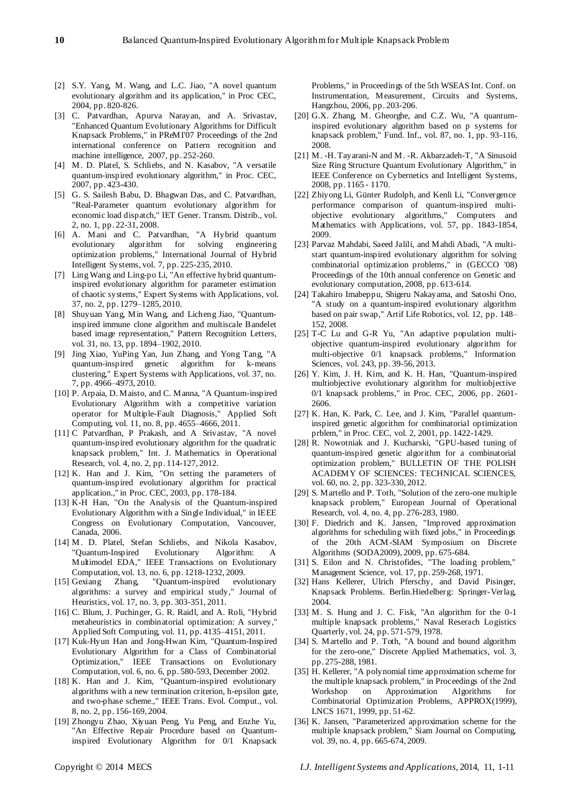- [2] S.Y. Yang, M. Wang, and L.C. Jiao, "A novel quantum evolutionary algorithm and its application," in Proc CEC, 2004, pp. 820-826.
- [3] C. Patvardhan, Apurva Narayan, and A. Srivastav, "Enhanced Quantum Evolutionary Algorithms for Difficult Knapsack Problems," in PReMI'07 Proceedings of the 2nd international conference on Pattern recognition and machine intelligence, 2007, pp. 252-260.
- [4] M. D. Platel, S. Schliebs, and N. Kasabov, "A versatile quantum-inspired evolutionary algorithm," in Proc. CEC, 2007, pp. 423-430.
- [5] G. S. Sailesh Babu, D. Bhagwan Das, and C. Patvardhan, "Real-Parameter quantum evolutionary algorithm for economic load dispatch," IET Gener. Transm. Distrib., vol. 2, no. 1, pp. 22-31, 2008.
- [6] A. Mani and C. Patvardhan, "A Hybrid quantum evolutionary algorithm for solving engineering optimization problems," International Journal of Hybrid Intelligent Systems, vol. 7, pp. 225-235, 2010.
- [7] Ling Wang and Ling-po Li, "An effective hybrid quantuminspired evolutionary algorithm for parameter estimation of chaotic systems," Expert Systems with Applications, vol. 37, no. 2, pp. 1279–1285, 2010.
- [8] Shuyuan Yang, Min Wang, and Licheng Jiao, "Quantuminspired immune clone algorithm and multiscale Bandelet based image representation," Pattern Recognition Letters, vol. 31, no. 13, pp. 1894–1902, 2010.
- [9] Jing Xiao, YuPing Yan, Jun Zhang, and Yong Tang, "A quantum-inspired genetic algorithm for k-means clustering," Expert Systems with Applications, vol. 37, no. 7, pp. 4966–4973, 2010.
- [10] P. Arpaia, D. Maisto, and C. Manna, "A Quantum-inspired Evolutionary Algorithm with a competitive variation operator for Multiple-Fault Diagnosis," Applied Soft Computing, vol. 11, no. 8, pp. 4655–4666, 2011.
- [11] C Patvardhan, P Prakash, and A Srivastav, "A novel quantum-inspired evolutionary algorithm for the quadratic knapsack problem," Int. J. Mathematics in Operational Research, vol. 4, no. 2, pp. 114-127, 2012.
- [12] K. Han and J. Kim, "On setting the parameters of quantum-inspired evolutionary algorithm for practical application.," in Proc. CEC, 2003, pp. 178-184.
- [13] K-H Han, "On the Analysis of the Quantum-inspired Evolutionary Algorithm with a Single Individual," in IEEE Congress on Evolutionary Computation, Vancouver, Canada, 2006.
- [14] M. D. Platel, Stefan Schliebs, and Nikola Kasabov, "Quantum-Inspired Evolutionary Algorithm: A Multimodel EDA," IEEE Transactions on Evolutionary Computation, vol. 13, no. 6, pp. 1218-1232, 2009.
- [15] Gexiang Zhang, "Quantum-inspired evolutionary algorithms: a survey and empirical study," Journal of Heuristics, vol. 17, no. 3, pp. 303-351, 2011.
- [16] C. Blum, J. Puchinger, G. R. Raidl, and A. Roli, "Hybrid metaheuristics in combinatorial optimization: A survey," Applied Soft Computing, vol. 11, pp. 4135–4151, 2011.
- [17] Kuk-Hyun Han and Jong-Hwan Kim, "Quantum-Inspired Evolutionary Algorithm for a Class of Combinatorial Optimization," IEEE Transactions on Evolutionary Computation, vol. 6, no. 6, pp. 580-593, December 2002.
- [18] K. Han and J. Kim, "Quantum-inspired evolutionary algorithms with a new termination criterion, h-epsilon gate, and two-phase scheme.," IEEE Trans. Evol. Comput., vol. 8, no. 2, pp. 156-169, 2004.
- [19] Zhongyu Zhao, Xiyuan Peng, Yu Peng, and Enzhe Yu, "An Effective Repair Procedure based on Quantuminspired Evolutionary Algorithm for 0/1 Knapsack

Problems," in Proceedings of the 5th WSEAS Int. Conf. on Instrumentation, Measurement, Circuits and Systems, Hangzhou, 2006, pp. 203-206.

- [20] G.X. Zhang, M. Gheorghe, and C.Z. Wu, "A quantuminspired evolutionary algorithm based on p systems for knapsack problem," Fund. Inf., vol. 87, no. 1, pp. 93-116, 2008.
- [21] M. -H. Tayarani-N and M. -R. Akbarzadeh-T, "A Sinusoid Size Ring Structure Quantum Evolutionary Algorithm," in IEEE Conference on Cybernetics and Intelligent Systems, 2008, pp. 1165 - 1170.
- [22] Zhiyong Li, Günter Rudolph, and Kenli Li, "Convergence performance comparison of quantum-inspired multiobjective evolutionary algorithms," Computers and Mathematics with Applications, vol. 57, pp. 1843-1854, 2009.
- [23] Parvaz Mahdabi, Saeed Jalili, and Mahdi Abadi, "A multistart quantum-inspired evolutionary algorithm for solving combinatorial optimization problems," in (GECCO '08) Proceedings of the 10th annual conference on Genetic and evolutionary computation, 2008, pp. 613-614.
- [24] Takahiro Imabeppu, Shigeru Nakayama, and Satoshi Ono, "A study on a quantum-inspired evolutionary algorithm based on pair swap," Artif Life Robotics, vol. 12, pp. 148– 152, 2008.
- [25] T-C Lu and G-R Yu, "An adaptive population multiobjective quantum-inspired evolutionary algorithm for multi-objective 0/1 knapsack problems," Information Sciences, vol. 243, pp. 39-56, 2013.
- [26] Y. Kim, J. H. Kim, and K. H. Han, "Quantum-inspired multiobjective evolutionary algorithm for multiobjective 0/1 knapsack problems," in Proc. CEC, 2006, pp. 2601- 2606.
- [27] K. Han, K. Park, C. Lee, and J. Kim, "Parallel quantuminspired genetic algorithm for combinatorial optimization prblem," in Proc. CEC, vol. 2, 2001, pp. 1422-1429.
- [28] R. Nowotniak and J. Kucharski, "GPU-based tuning of quantum-inspired genetic algorithm for a combinatorial optimization problem," BULLETIN OF THE POLISH ACADEMY OF SCIENCES: TECHNICAL SCIENCES, vol. 60, no. 2, pp. 323-330, 2012.
- [29] S. Martello and P. Toth, "Solution of the zero-one multiple knapsack problem," European Journal of Operational Research, vol. 4, no. 4, pp. 276-283, 1980.
- [30] F. Diedrich and K. Jansen, "Improved approximation algorithms for scheduling with fixed jobs," in Proceedings of the 20th ACM-SIAM Symposium on Discrete Algorithms (SODA2009), 2009, pp. 675-684.
- [31] S. Eilon and N. Christofides, "The loading problem," Management Science, vol. 17, pp. 259-268, 1971.
- [32] Hans Kellerer, Ulrich Pferschy, and David Pisinger, Knapsack Problems. Berlin.Hiedelberg: Springer-Verlag, 2004.
- [33] M. S. Hung and J. C. Fisk, "An algorithm for the 0-1 multiple knapsack problems," Naval Reserach Logistics Quarterly, vol. 24, pp. 571-579, 1978.
- [34] S. Martello and P. Toth, "A bound and bound algorithm for the zero-one," Discrete Applied Mathematics, vol. 3, pp. 275-288, 1981.
- [35] H. Kellerer, "A polynomial time approximation scheme for the multiple knapsack problem," in Proceedings of the 2nd Workshop on Approximation Algorithms for Combinatorial Optimization Problems, APPROX(1999), LNCS 1671, 1999, pp. 51-62.
- [36] K. Jansen, "Parameterized approximation scheme for the multiple knapsack problem," Siam Journal on Computing, vol. 39, no. 4, pp. 665-674, 2009.

Copyright © 2014 MECS *I.J. Intelligent Systems and Applications,* 2014, 11, 1-11